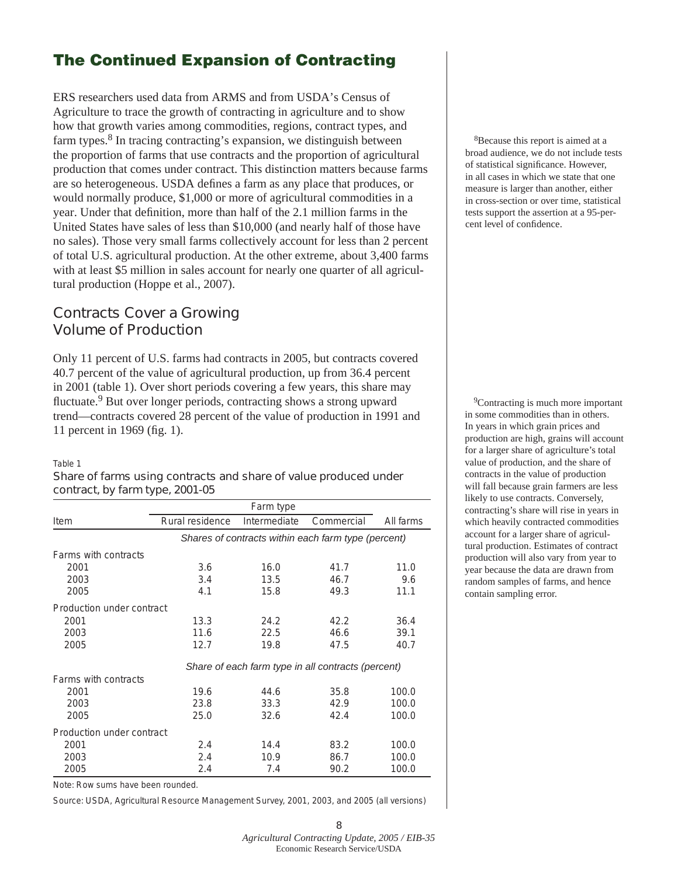# The Continued Expansion of Contracting

ERS researchers used data from ARMS and from USDA's Census of Agriculture to trace the growth of contracting in agriculture and to show how that growth varies among commodities, regions, contract types, and farm types.8 In tracing contracting's expansion, we distinguish between the proportion of farms that use contracts and the proportion of agricultural production that comes under contract. This distinction matters because farms are so heterogeneous. USDA defines a farm as any place that produces, or would normally produce, \$1,000 or more of agricultural commodities in a year. Under that definition, more than half of the 2.1 million farms in the United States have sales of less than \$10,000 (and nearly half of those have no sales). Those very small farms collectively account for less than 2 percent of total U.S. agricultural production. At the other extreme, about 3,400 farms with at least \$5 million in sales account for nearly one quarter of all agricultural production (Hoppe et al., 2007).

## **Contracts Cover a Growing Volume of Production**

Only 11 percent of U.S. farms had contracts in 2005, but contracts covered 40.7 percent of the value of agricultural production, up from 36.4 percent in 2001 (table 1). Over short periods covering a few years, this share may fluctuate.<sup>9</sup> But over longer periods, contracting shows a strong upward trend—contracts covered 28 percent of the value of production in 1991 and 11 percent in 1969 (fig. 1).

#### Table 1

### **Share of farms using contracts and share of value produced under contract, by farm type, 2001-05**

|                           | Farm type                                           |              |            |           |  |
|---------------------------|-----------------------------------------------------|--------------|------------|-----------|--|
| Item                      | Rural residence                                     | Intermediate | Commercial | All farms |  |
|                           | Shares of contracts within each farm type (percent) |              |            |           |  |
| Farms with contracts      |                                                     |              |            |           |  |
| 2001                      | 3.6                                                 | 16.0         | 41.7       | 11.0      |  |
| 2003                      | 3.4                                                 | 13.5         | 46.7       | 9.6       |  |
| 2005                      | 4.1                                                 | 15.8         | 49.3       | 11.1      |  |
| Production under contract |                                                     |              |            |           |  |
| 2001                      | 13.3                                                | 24.2         | 42.2       | 36.4      |  |
| 2003                      | 11.6                                                | 22.5         | 46.6       | 39.1      |  |
| 2005                      | 12.7                                                | 19.8         | 47.5       | 40.7      |  |
|                           | Share of each farm type in all contracts (percent)  |              |            |           |  |
| Farms with contracts      |                                                     |              |            |           |  |
| 2001                      | 19.6                                                | 44.6         | 35.8       | 100.0     |  |
| 2003                      | 23.8                                                | 33.3         | 42.9       | 100.0     |  |
| 2005                      | 25.0                                                | 32.6         | 42.4       | 100.0     |  |
| Production under contract |                                                     |              |            |           |  |
| 2001                      | 2.4                                                 | 14.4         | 83.2       | 100.0     |  |
| 2003                      | 2.4                                                 | 10.9         | 86.7       | 100.0     |  |
| 2005                      | 2.4                                                 | 7.4          | 90.2       | 100.0     |  |

Note: Row sums have been rounded.

Source: USDA, Agricultural Resource Management Survey, 2001, 2003, and 2005 (all versions)

8Because this report is aimed at a broad audience, we do not include tests of statistical significance. However, in all cases in which we state that one measure is larger than another, either in cross-section or over time, statistical tests support the assertion at a 95-percent level of confidence.

<sup>9</sup>Contracting is much more important in some commodities than in others. In years in which grain prices and production are high, grains will account for a larger share of agriculture's total value of production, and the share of contracts in the value of production will fall because grain farmers are less likely to use contracts. Conversely, contracting's share will rise in years in which heavily contracted commodities account for a larger share of agricultural production. Estimates of contract production will also vary from year to year because the data are drawn from random samples of farms, and hence contain sampling error.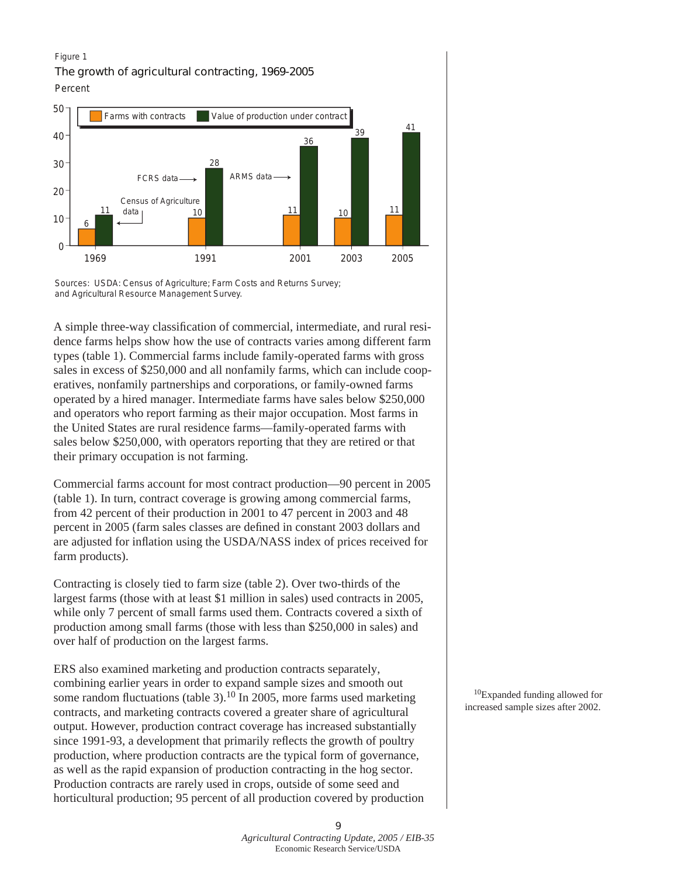#### Figure 1

**The growth of agricultural contracting, 1969-2005**







A simple three-way classification of commercial, intermediate, and rural residence farms helps show how the use of contracts varies among different farm types (table 1). Commercial farms include family-operated farms with gross sales in excess of \$250,000 and all nonfamily farms, which can include cooperatives, nonfamily partnerships and corporations, or family-owned farms operated by a hired manager. Intermediate farms have sales below \$250,000 and operators who report farming as their major occupation. Most farms in the United States are rural residence farms—family-operated farms with sales below \$250,000, with operators reporting that they are retired or that their primary occupation is not farming.

Commercial farms account for most contract production—90 percent in 2005 (table 1). In turn, contract coverage is growing among commercial farms, from 42 percent of their production in 2001 to 47 percent in 2003 and 48 percent in 2005 (farm sales classes are defined in constant 2003 dollars and are adjusted for inflation using the USDA/NASS index of prices received for farm products).

Contracting is closely tied to farm size (table 2). Over two-thirds of the largest farms (those with at least \$1 million in sales) used contracts in 2005, while only 7 percent of small farms used them. Contracts covered a sixth of production among small farms (those with less than \$250,000 in sales) and over half of production on the largest farms.

ERS also examined marketing and production contracts separately, combining earlier years in order to expand sample sizes and smooth out some random fluctuations (table 3).<sup>10</sup> In 2005, more farms used marketing contracts, and marketing contracts covered a greater share of agricultural output. However, production contract coverage has increased substantially since 1991-93, a development that primarily reflects the growth of poultry production, where production contracts are the typical form of governance, as well as the rapid expansion of production contracting in the hog sector. Production contracts are rarely used in crops, outside of some seed and horticultural production; 95 percent of all production covered by production

10Expanded funding allowed for increased sample sizes after 2002.

 *Agricultural Contracting Update, 2005 / EIB-35*  Economic Research Service/USDA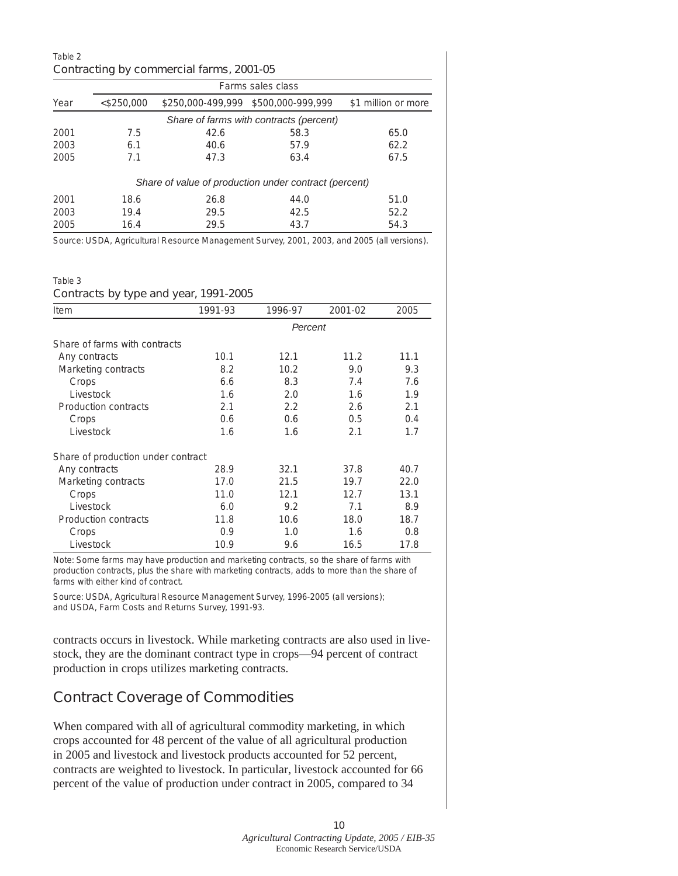| Table 2<br>Contracting by commercial farms, 2001-05 |                   |      |                                                       |                     |  |  |
|-----------------------------------------------------|-------------------|------|-------------------------------------------------------|---------------------|--|--|
|                                                     | Farms sales class |      |                                                       |                     |  |  |
| Year                                                | $<$ \$250,000     |      | \$250,000-499,999 \$500,000-999,999                   | \$1 million or more |  |  |
|                                                     |                   |      | Share of farms with contracts (percent)               |                     |  |  |
| 2001                                                | 7.5               | 42.6 | 58.3                                                  | 65.0                |  |  |
| 2003                                                | 6.1               | 40.6 | 57.9                                                  | 62.2                |  |  |
| 2005                                                | 7.1               | 47.3 | 63.4                                                  | 67.5                |  |  |
|                                                     |                   |      | Share of value of production under contract (percent) |                     |  |  |
| 2001                                                | 18.6              | 26.8 | 44.0                                                  | 51.0                |  |  |
| 2003                                                | 19.4              | 29.5 | 42.5                                                  | 52.2                |  |  |
| 2005                                                | 16.4              | 29.5 | 43.7                                                  | 54.3                |  |  |

Source: USDA, Agricultural Resource Management Survey, 2001, 2003, and 2005 (all versions).

#### Table 3

#### **Contracts by type and year, 1991-2005**

| Item                               | 1991-93 | 1996-97 | 2001-02 | 2005 |  |
|------------------------------------|---------|---------|---------|------|--|
|                                    | Percent |         |         |      |  |
| Share of farms with contracts      |         |         |         |      |  |
| Any contracts                      | 10.1    | 12.1    | 11.2    | 11.1 |  |
| Marketing contracts                | 8.2     | 10.2    | 9.0     | 9.3  |  |
| Crops                              | 6.6     | 8.3     | 7.4     | 7.6  |  |
| Livestock                          | 1.6     | 2.0     | 1.6     | 1.9  |  |
| Production contracts               | 2.1     | 2.2     | 2.6     | 2.1  |  |
| Crops                              | 0.6     | 0.6     | 0.5     | 0.4  |  |
| Livestock                          | 1.6     | 1.6     | 2.1     | 1.7  |  |
| Share of production under contract |         |         |         |      |  |
| Any contracts                      | 28.9    | 32.1    | 37.8    | 40.7 |  |
| Marketing contracts                | 17.0    | 21.5    | 19.7    | 22.0 |  |
| Crops                              | 11.0    | 12.1    | 12.7    | 13.1 |  |
| Livestock                          | 6.0     | 9.2     | 7.1     | 8.9  |  |
| Production contracts               | 11.8    | 10.6    | 18.0    | 18.7 |  |
| Crops                              | 0.9     | 1.0     | 1.6     | 0.8  |  |
| Livestock                          | 10.9    | 9.6     | 16.5    | 17.8 |  |

Note: Some farms may have production and marketing contracts, so the share of farms with production contracts, plus the share with marketing contracts, adds to more than the share of farms with either kind of contract.

Source: USDA, Agricultural Resource Management Survey, 1996-2005 (all versions); and USDA, Farm Costs and Returns Survey, 1991-93.

contracts occurs in livestock. While marketing contracts are also used in livestock, they are the dominant contract type in crops—94 percent of contract production in crops utilizes marketing contracts.

## **Contract Coverage of Commodities**

When compared with all of agricultural commodity marketing, in which crops accounted for 48 percent of the value of all agricultural production in 2005 and livestock and livestock products accounted for 52 percent, contracts are weighted to livestock. In particular, livestock accounted for 66 percent of the value of production under contract in 2005, compared to 34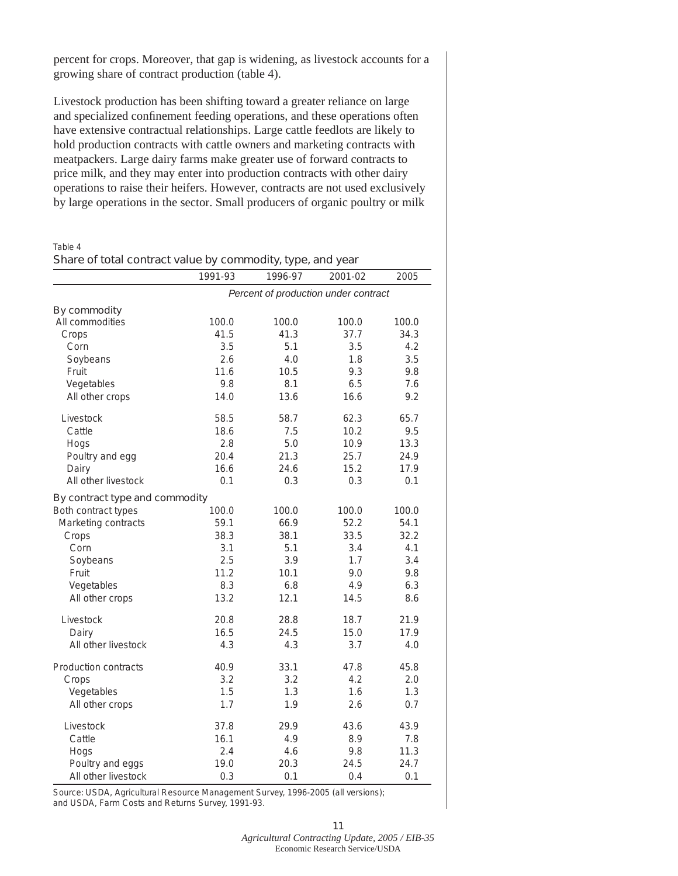percent for crops. Moreover, that gap is widening, as livestock accounts for a growing share of contract production (table 4).

Livestock production has been shifting toward a greater reliance on large and specialized confinement feeding operations, and these operations often have extensive contractual relationships. Large cattle feedlots are likely to hold production contracts with cattle owners and marketing contracts with meatpackers. Large dairy farms make greater use of forward contracts to price milk, and they may enter into production contracts with other dairy operations to raise their heifers. However, contracts are not used exclusively by large operations in the sector. Small producers of organic poultry or milk

#### Table 4

#### **Share of total contract value by commodity, type, and year**

|                                | 1991-93                              | 1996-97 | 2001-02 | 2005  |  |
|--------------------------------|--------------------------------------|---------|---------|-------|--|
|                                | Percent of production under contract |         |         |       |  |
| <b>By commodity</b>            |                                      |         |         |       |  |
| All commodities                | 100.0                                | 100.0   | 100.0   | 100.0 |  |
| Crops                          | 41.5                                 | 41.3    | 37.7    | 34.3  |  |
| Corn                           | 3.5                                  | 5.1     | 3.5     | 4.2   |  |
| Soybeans                       | 2.6                                  | 4.0     | 1.8     | 3.5   |  |
| Fruit                          | 11.6                                 | 10.5    | 9.3     | 9.8   |  |
| Vegetables                     | 9.8                                  | 8.1     | 6.5     | 7.6   |  |
| All other crops                | 14.0                                 | 13.6    | 16.6    | 9.2   |  |
| Livestock                      | 58.5                                 | 58.7    | 62.3    | 65.7  |  |
| Cattle                         | 18.6                                 | 7.5     | 10.2    | 9.5   |  |
| Hogs                           | 2.8                                  | 5.0     | 10.9    | 13.3  |  |
| Poultry and egg                | 20.4                                 | 21.3    | 25.7    | 24.9  |  |
| Dairy                          | 16.6                                 | 24.6    | 15.2    | 17.9  |  |
| All other livestock            | 0.1                                  | 0.3     | 0.3     | 0.1   |  |
| By contract type and commodity |                                      |         |         |       |  |
| Both contract types            | 100.0                                | 100.0   | 100.0   | 100.0 |  |
| Marketing contracts            | 59.1                                 | 66.9    | 52.2    | 54.1  |  |
| Crops                          | 38.3                                 | 38.1    | 33.5    | 32.2  |  |
| Corn                           | 3.1                                  | 5.1     | 3.4     | 4.1   |  |
| Soybeans                       | 2.5                                  | 3.9     | 1.7     | 3.4   |  |
| Fruit                          | 11.2                                 | 10.1    | 9.0     | 9.8   |  |
| Vegetables                     | 8.3                                  | 6.8     | 4.9     | 6.3   |  |
| All other crops                | 13.2                                 | 12.1    | 14.5    | 8.6   |  |
| Livestock                      | 20.8                                 | 28.8    | 18.7    | 21.9  |  |
| Dairy                          | 16.5                                 | 24.5    | 15.0    | 17.9  |  |
| All other livestock            | 4.3                                  | 4.3     | 3.7     | 4.0   |  |
| <b>Production contracts</b>    | 40.9                                 | 33.1    | 47.8    | 45.8  |  |
| Crops                          | 3.2                                  | 3.2     | 4.2     | 2.0   |  |
| Vegetables                     | 1.5                                  | 1.3     | 1.6     | 1.3   |  |
| All other crops                | 1.7                                  | 1.9     | 2.6     | 0.7   |  |
| Livestock                      | 37.8                                 | 29.9    | 43.6    | 43.9  |  |
| Cattle                         | 16.1                                 | 4.9     | 8.9     | 7.8   |  |
| Hogs                           | 2.4                                  | 4.6     | 9.8     | 11.3  |  |
| Poultry and eggs               | 19.0                                 | 20.3    | 24.5    | 24.7  |  |
| All other livestock            | 0.3                                  | 0.1     | 0.4     | 0.1   |  |

Source: USDA, Agricultural Resource Management Survey, 1996-2005 (all versions); and USDA, Farm Costs and Returns Survey, 1991-93.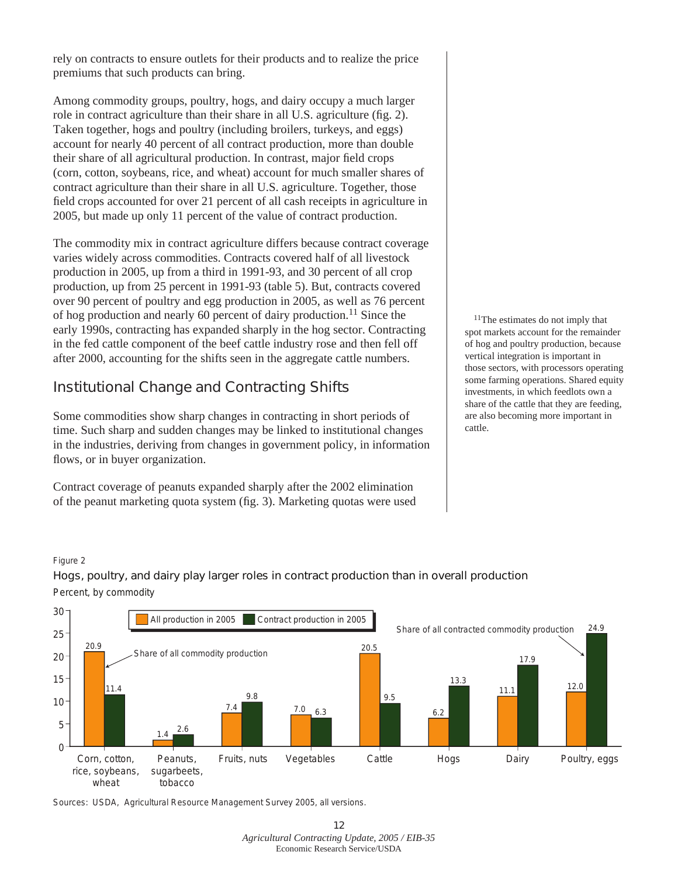rely on contracts to ensure outlets for their products and to realize the price premiums that such products can bring.

Among commodity groups, poultry, hogs, and dairy occupy a much larger role in contract agriculture than their share in all U.S. agriculture (fig. 2). Taken together, hogs and poultry (including broilers, turkeys, and eggs) account for nearly 40 percent of all contract production, more than double their share of all agricultural production. In contrast, major field crops (corn, cotton, soybeans, rice, and wheat) account for much smaller shares of contract agriculture than their share in all U.S. agriculture. Together, those field crops accounted for over 21 percent of all cash receipts in agriculture in 2005, but made up only 11 percent of the value of contract production.

The commodity mix in contract agriculture differs because contract coverage varies widely across commodities. Contracts covered half of all livestock production in 2005, up from a third in 1991-93, and 30 percent of all crop production, up from 25 percent in 1991-93 (table 5). But, contracts covered over 90 percent of poultry and egg production in 2005, as well as 76 percent of hog production and nearly 60 percent of dairy production.11 Since the early 1990s, contracting has expanded sharply in the hog sector. Contracting in the fed cattle component of the beef cattle industry rose and then fell off after 2000, accounting for the shifts seen in the aggregate cattle numbers.

# **Institutional Change and Contracting Shifts**

Some commodities show sharp changes in contracting in short periods of time. Such sharp and sudden changes may be linked to institutional changes in the industries, deriving from changes in government policy, in information flows, or in buyer organization.

Contract coverage of peanuts expanded sharply after the 2002 elimination of the peanut marketing quota system (fig. 3). Marketing quotas were used

<sup>11</sup>The estimates do not imply that spot markets account for the remainder of hog and poultry production, because vertical integration is important in those sectors, with processors operating some farming operations. Shared equity investments, in which feedlots own a share of the cattle that they are feeding, are also becoming more important in cattle.

#### Figure 2

## **Hogs, poultry, and dairy play larger roles in contract production than in overall production** Percent, by commodity



Sources: USDA, Agricultural Resource Management Survey 2005, all versions.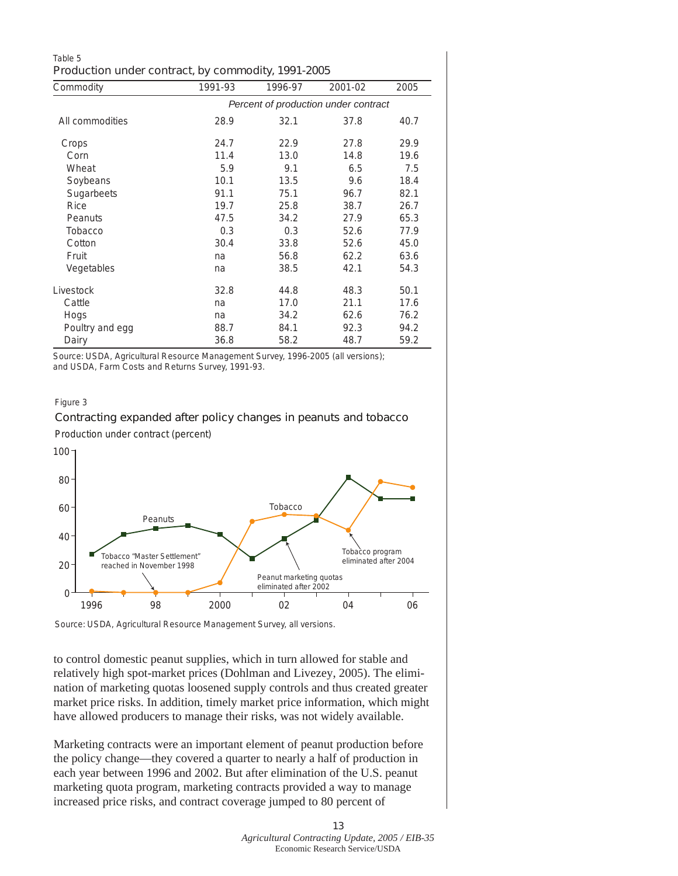| Table 5                                            |  |  |
|----------------------------------------------------|--|--|
| Production under contract, by commodity, 1991-2005 |  |  |

| Commodity       | 1991-93                              | 1996-97 | 2001-02 | 2005 |  |
|-----------------|--------------------------------------|---------|---------|------|--|
|                 | Percent of production under contract |         |         |      |  |
| All commodities | 28.9                                 | 32.1    | 37.8    | 40.7 |  |
| Crops           | 24.7                                 | 22.9    | 27.8    | 29.9 |  |
| Corn            | 11.4                                 | 13.0    | 14.8    | 19.6 |  |
| Wheat           | 5.9                                  | 9.1     | 6.5     | 7.5  |  |
| Soybeans        | 10.1                                 | 13.5    | 9.6     | 18.4 |  |
| Sugarbeets      | 91.1                                 | 75.1    | 96.7    | 82.1 |  |
| Rice            | 19.7                                 | 25.8    | 38.7    | 26.7 |  |
| Peanuts         | 47.5                                 | 34.2    | 27.9    | 65.3 |  |
| Tobacco         | 0.3                                  | 0.3     | 52.6    | 77.9 |  |
| Cotton          | 30.4                                 | 33.8    | 52.6    | 45.0 |  |
| Fruit           | na                                   | 56.8    | 62.2    | 63.6 |  |
| Vegetables      | na                                   | 38.5    | 42.1    | 54.3 |  |
| Livestock       | 32.8                                 | 44.8    | 48.3    | 50.1 |  |
| Cattle          | na                                   | 17.0    | 21.1    | 17.6 |  |
| Hogs            | na                                   | 34.2    | 62.6    | 76.2 |  |
| Poultry and egg | 88.7                                 | 84.1    | 92.3    | 94.2 |  |
| Dairy           | 36.8                                 | 58.2    | 48.7    | 59.2 |  |

Source: USDA, Agricultural Resource Management Survey, 1996-2005 (all versions); and USDA, Farm Costs and Returns Survey, 1991-93.

#### Figure 3

### **Contracting expanded after policy changes in peanuts and tobacco**

Production under contract (percent)



Source: USDA, Agricultural Resource Management Survey, all versions.

to control domestic peanut supplies, which in turn allowed for stable and relatively high spot-market prices (Dohlman and Livezey, 2005). The elimination of marketing quotas loosened supply controls and thus created greater market price risks. In addition, timely market price information, which might have allowed producers to manage their risks, was not widely available.

Marketing contracts were an important element of peanut production before the policy change—they covered a quarter to nearly a half of production in each year between 1996 and 2002. But after elimination of the U.S. peanut marketing quota program, marketing contracts provided a way to manage increased price risks, and contract coverage jumped to 80 percent of